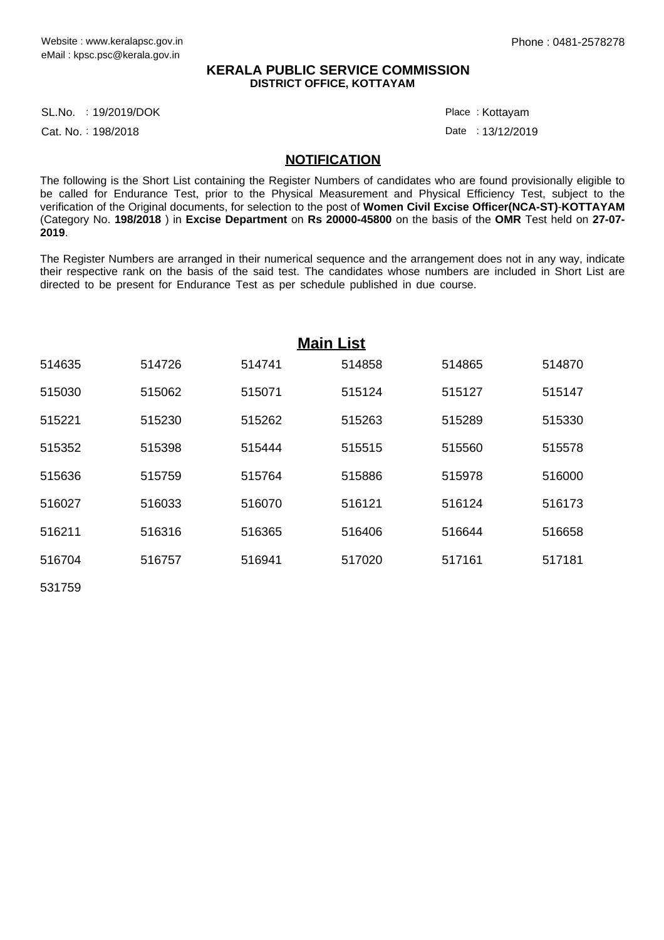## **KERALA PUBLIC SERVICE COMMISSION DISTRICT OFFICE, KOTTAYAM**

SL.No. :19/2019/DOK Place

Cat. No.: 198/2018

Date : 13/12/2019 : Kottayam

## **NOTIFICATION**

The following is the Short List containing the Register Numbers of candidates who are found provisionally eligible to be called for Endurance Test, prior to the Physical Measurement and Physical Efficiency Test, subject to the verification of the Original documents, for selection to the post of **Women Civil Excise Officer(NCA-ST)**-**KOTTAYAM** (Category No. **198/2018** ) in **Excise Department** on **Rs 20000-45800** on the basis of the **OMR** Test held on **27-07- 2019**.

The Register Numbers are arranged in their numerical sequence and the arrangement does not in any way, indicate their respective rank on the basis of the said test. The candidates whose numbers are included in Short List are directed to be present for Endurance Test as per schedule published in due course.

| <b>Main List</b> |        |        |        |        |        |
|------------------|--------|--------|--------|--------|--------|
| 514635           | 514726 | 514741 | 514858 | 514865 | 514870 |
| 515030           | 515062 | 515071 | 515124 | 515127 | 515147 |
| 515221           | 515230 | 515262 | 515263 | 515289 | 515330 |
| 515352           | 515398 | 515444 | 515515 | 515560 | 515578 |
| 515636           | 515759 | 515764 | 515886 | 515978 | 516000 |
| 516027           | 516033 | 516070 | 516121 | 516124 | 516173 |
| 516211           | 516316 | 516365 | 516406 | 516644 | 516658 |
| 516704           | 516757 | 516941 | 517020 | 517161 | 517181 |
| 531759           |        |        |        |        |        |